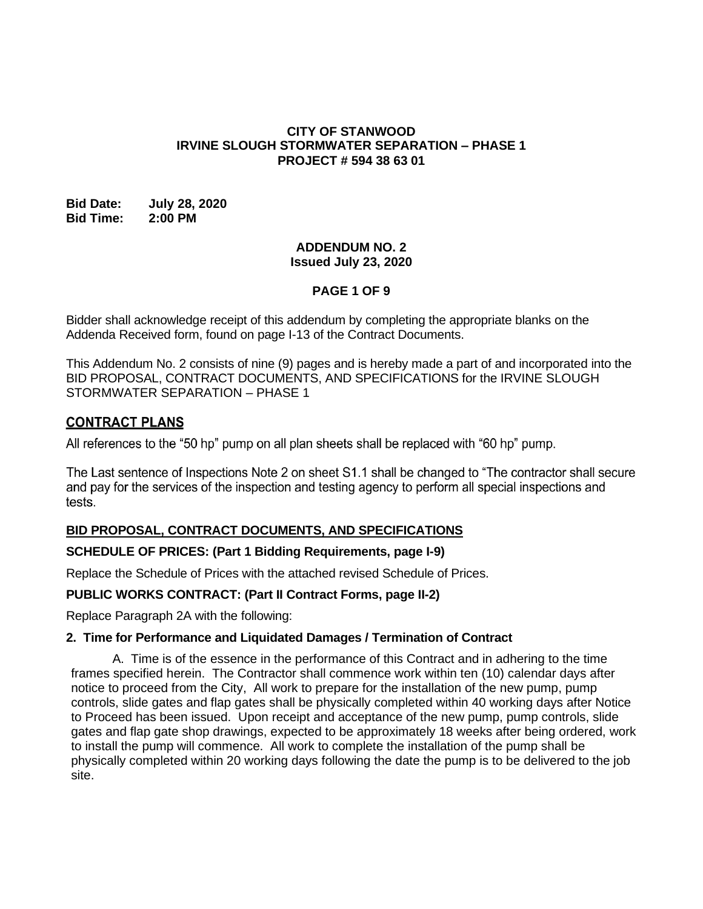### **CITY OF STANWOOD IRVINE SLOUGH STORMWATER SEPARATION – PHASE 1 PROJECT # 594 38 63 01**

### **Bid Date: July 28, 2020 Bid Time: 2:00 PM**

### **ADDENDUM NO. 2 Issued July 23, 2020**

# **PAGE 1 OF 9**

Bidder shall acknowledge receipt of this addendum by completing the appropriate blanks on the Addenda Received form, found on page I-13 of the Contract Documents.

This Addendum No. 2 consists of nine (9) pages and is hereby made a part of and incorporated into the BID PROPOSAL, CONTRACT DOCUMENTS, AND SPECIFICATIONS for the IRVINE SLOUGH STORMWATER SEPARATION – PHASE 1

# **CONTRACT PLANS**

All references to the "50 hp" pump on all plan sheets shall be replaced with "60 hp" pump.

The Last sentence of Inspections Note 2 on sheet S1.1 shall be changed to "The contractor shall secure and pay for the services of the inspection and testing agency to perform all special inspections and tests.

## **BID PROPOSAL, CONTRACT DOCUMENTS, AND SPECIFICATIONS**

### **SCHEDULE OF PRICES: (Part 1 Bidding Requirements, page I-9)**

Replace the Schedule of Prices with the attached revised Schedule of Prices.

## **PUBLIC WORKS CONTRACT: (Part II Contract Forms, page II-2)**

Replace Paragraph 2A with the following:

### **2. Time for Performance and Liquidated Damages / Termination of Contract**

A. Time is of the essence in the performance of this Contract and in adhering to the time frames specified herein. The Contractor shall commence work within ten (10) calendar days after notice to proceed from the City, All work to prepare for the installation of the new pump, pump controls, slide gates and flap gates shall be physically completed within 40 working days after Notice to Proceed has been issued. Upon receipt and acceptance of the new pump, pump controls, slide gates and flap gate shop drawings, expected to be approximately 18 weeks after being ordered, work to install the pump will commence. All work to complete the installation of the pump shall be physically completed within 20 working days following the date the pump is to be delivered to the job site.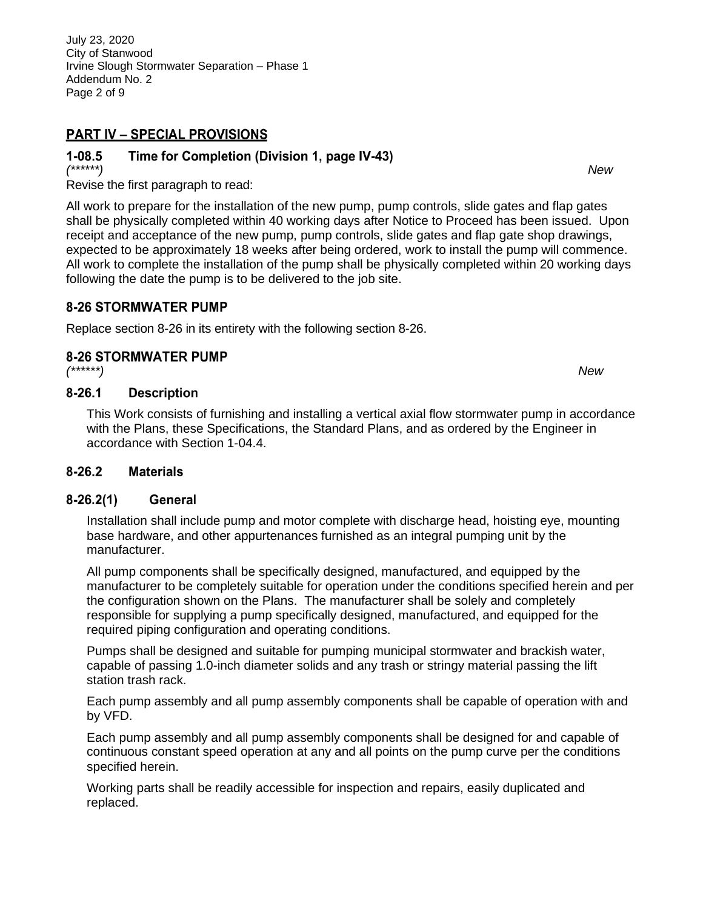July 23, 2020 City of Stanwood Irvine Slough Stormwater Separation – Phase 1 Addendum No. 2 Page 2 of 9

# **PART IV - SPECIAL PROVISIONS**

#### $1 - 08.5$ Time for Completion (Division 1, page IV-43)

*(\*\*\*\*\*\*) New* Revise the first paragraph to read:

All work to prepare for the installation of the new pump, pump controls, slide gates and flap gates shall be physically completed within 40 working days after Notice to Proceed has been issued. Upon receipt and acceptance of the new pump, pump controls, slide gates and flap gate shop drawings, expected to be approximately 18 weeks after being ordered, work to install the pump will commence. All work to complete the installation of the pump shall be physically completed within 20 working days following the date the pump is to be delivered to the job site.

# **8-26 STORMWATER PUMP**

Replace section 8-26 in its entirety with the following section 8-26.

# **8-26 STORMWATER PUMP**

*(\*\*\*\*\*\*) New*

#### $8 - 26.1$ **Description**

This Work consists of furnishing and installing a vertical axial flow stormwater pump in accordance with the Plans, these Specifications, the Standard Plans, and as ordered by the Engineer in accordance with Section 1-04.4.

#### $8 - 26.2$ **Materials**

#### $8-26.2(1)$ **General**

Installation shall include pump and motor complete with discharge head, hoisting eye, mounting base hardware, and other appurtenances furnished as an integral pumping unit by the manufacturer.

All pump components shall be specifically designed, manufactured, and equipped by the manufacturer to be completely suitable for operation under the conditions specified herein and per the configuration shown on the Plans. The manufacturer shall be solely and completely responsible for supplying a pump specifically designed, manufactured, and equipped for the required piping configuration and operating conditions.

Pumps shall be designed and suitable for pumping municipal stormwater and brackish water, capable of passing 1.0-inch diameter solids and any trash or stringy material passing the lift station trash rack.

Each pump assembly and all pump assembly components shall be capable of operation with and by VFD.

Each pump assembly and all pump assembly components shall be designed for and capable of continuous constant speed operation at any and all points on the pump curve per the conditions specified herein.

Working parts shall be readily accessible for inspection and repairs, easily duplicated and replaced.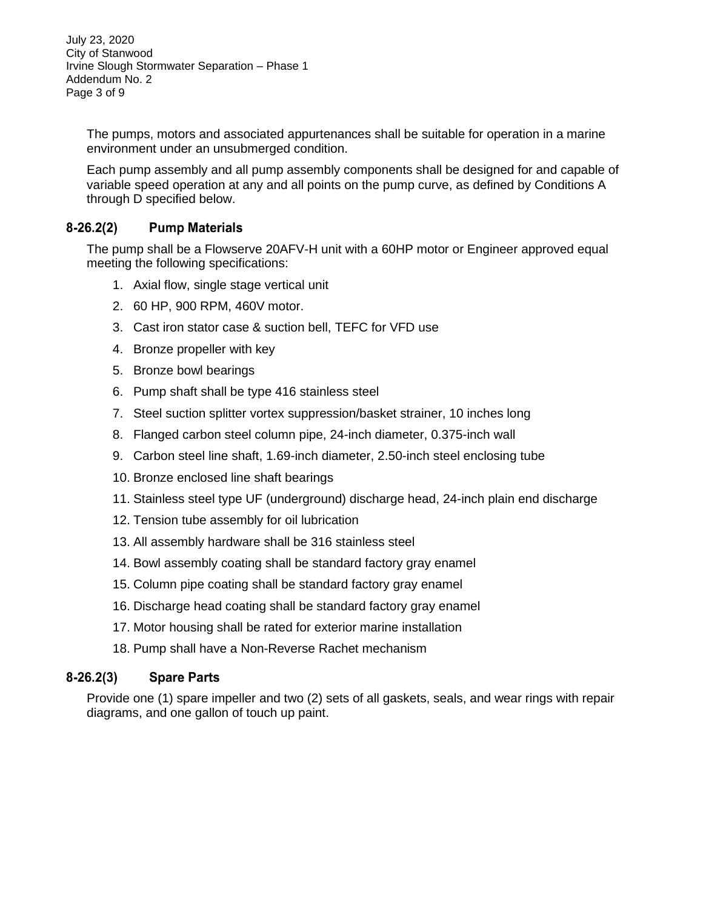July 23, 2020 City of Stanwood Irvine Slough Stormwater Separation – Phase 1 Addendum No. 2 Page 3 of 9

The pumps, motors and associated appurtenances shall be suitable for operation in a marine environment under an unsubmerged condition.

Each pump assembly and all pump assembly components shall be designed for and capable of variable speed operation at any and all points on the pump curve, as defined by Conditions A through D specified below.

#### $8-26.2(2)$ **Pump Materials**

The pump shall be a Flowserve 20AFV-H unit with a 60HP motor or Engineer approved equal meeting the following specifications:

- 1. Axial flow, single stage vertical unit
- 2. 60 HP, 900 RPM, 460V motor.
- 3. Cast iron stator case & suction bell, TEFC for VFD use
- 4. Bronze propeller with key
- 5. Bronze bowl bearings
- 6. Pump shaft shall be type 416 stainless steel
- 7. Steel suction splitter vortex suppression/basket strainer, 10 inches long
- 8. Flanged carbon steel column pipe, 24-inch diameter, 0.375-inch wall
- 9. Carbon steel line shaft, 1.69-inch diameter, 2.50-inch steel enclosing tube
- 10. Bronze enclosed line shaft bearings
- 11. Stainless steel type UF (underground) discharge head, 24-inch plain end discharge
- 12. Tension tube assembly for oil lubrication
- 13. All assembly hardware shall be 316 stainless steel
- 14. Bowl assembly coating shall be standard factory gray enamel
- 15. Column pipe coating shall be standard factory gray enamel
- 16. Discharge head coating shall be standard factory gray enamel
- 17. Motor housing shall be rated for exterior marine installation
- 18. Pump shall have a Non-Reverse Rachet mechanism

#### $8 - 26.2(3)$ **Spare Parts**

Provide one (1) spare impeller and two (2) sets of all gaskets, seals, and wear rings with repair diagrams, and one gallon of touch up paint.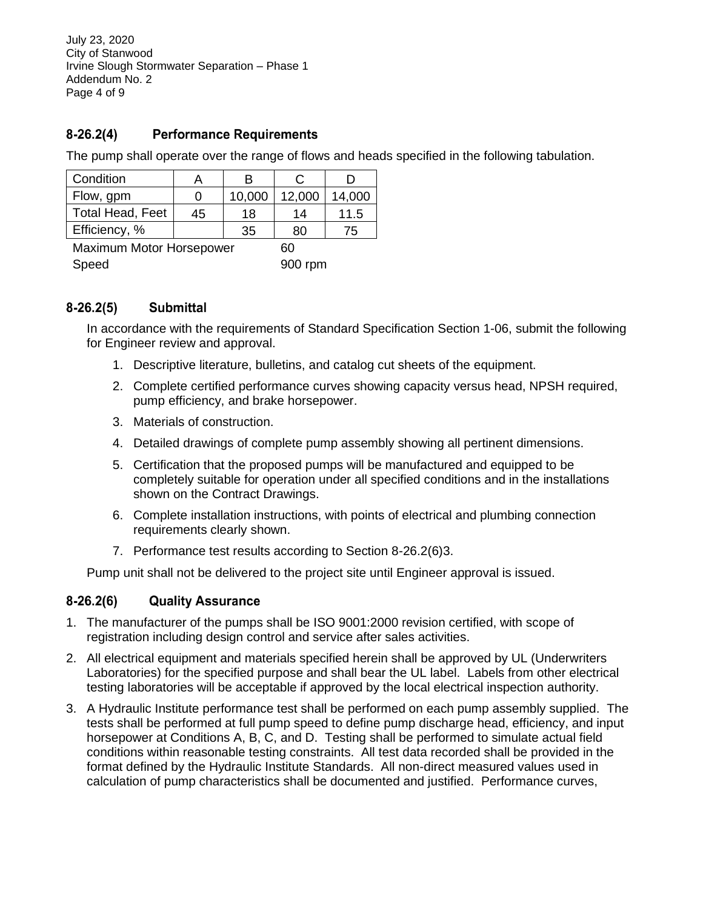July 23, 2020 City of Stanwood Irvine Slough Stormwater Separation – Phase 1 Addendum No. 2 Page 4 of 9

#### $8-26.2(4)$ **Performance Requirements**

The pump shall operate over the range of flows and heads specified in the following tabulation.

| Condition                      | A  | В      | C      |        |  |  |
|--------------------------------|----|--------|--------|--------|--|--|
| Flow, gpm                      | 0  | 10,000 | 12,000 | 14,000 |  |  |
| <b>Total Head, Feet</b>        | 45 | 18     | 14     | 11.5   |  |  |
| Efficiency, %                  |    | 35     | 80     | 75     |  |  |
| Maximum Motor Horsepower<br>הה |    |        |        |        |  |  |

Speed 900 rpm

#### $8-26.2(5)$ **Submittal**

In accordance with the requirements of Standard Specification Section 1-06, submit the following for Engineer review and approval.

- 1. Descriptive literature, bulletins, and catalog cut sheets of the equipment.
- 2. Complete certified performance curves showing capacity versus head, NPSH required, pump efficiency, and brake horsepower.
- 3. Materials of construction.
- 4. Detailed drawings of complete pump assembly showing all pertinent dimensions.
- 5. Certification that the proposed pumps will be manufactured and equipped to be completely suitable for operation under all specified conditions and in the installations shown on the Contract Drawings.
- 6. Complete installation instructions, with points of electrical and plumbing connection requirements clearly shown.
- 7. Performance test results according to Section 8-26.2(6)3.

Pump unit shall not be delivered to the project site until Engineer approval is issued.

#### $8 - 26.2(6)$ **Quality Assurance**

- 1. The manufacturer of the pumps shall be ISO 9001:2000 revision certified, with scope of registration including design control and service after sales activities.
- 2. All electrical equipment and materials specified herein shall be approved by UL (Underwriters Laboratories) for the specified purpose and shall bear the UL label. Labels from other electrical testing laboratories will be acceptable if approved by the local electrical inspection authority.
- 3. A Hydraulic Institute performance test shall be performed on each pump assembly supplied. The tests shall be performed at full pump speed to define pump discharge head, efficiency, and input horsepower at Conditions A, B, C, and D. Testing shall be performed to simulate actual field conditions within reasonable testing constraints. All test data recorded shall be provided in the format defined by the Hydraulic Institute Standards. All non-direct measured values used in calculation of pump characteristics shall be documented and justified. Performance curves,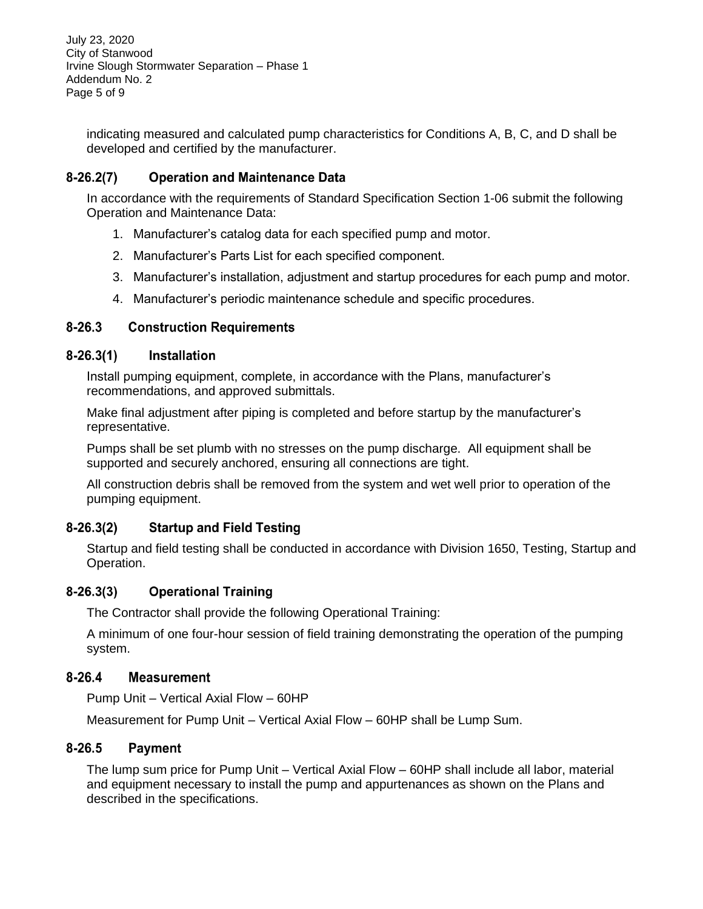July 23, 2020 City of Stanwood Irvine Slough Stormwater Separation – Phase 1 Addendum No. 2 Page 5 of 9

indicating measured and calculated pump characteristics for Conditions A, B, C, and D shall be developed and certified by the manufacturer.

#### $8-26.2(7)$ **Operation and Maintenance Data**

In accordance with the requirements of Standard Specification Section 1-06 submit the following Operation and Maintenance Data:

- 1. Manufacturer's catalog data for each specified pump and motor.
- 2. Manufacturer's Parts List for each specified component.
- 3. Manufacturer's installation, adjustment and startup procedures for each pump and motor.
- 4. Manufacturer's periodic maintenance schedule and specific procedures.

#### $8 - 26.3$ **Construction Requirements**

#### $8 - 26.3(1)$ **Installation**

Install pumping equipment, complete, in accordance with the Plans, manufacturer's recommendations, and approved submittals.

Make final adjustment after piping is completed and before startup by the manufacturer's representative.

Pumps shall be set plumb with no stresses on the pump discharge. All equipment shall be supported and securely anchored, ensuring all connections are tight.

All construction debris shall be removed from the system and wet well prior to operation of the pumping equipment.

#### $8-26.3(2)$ **Startup and Field Testing**

Startup and field testing shall be conducted in accordance with Division 1650, Testing, Startup and Operation.

#### $8 - 26.3(3)$ **Operational Training**

The Contractor shall provide the following Operational Training:

A minimum of one four-hour session of field training demonstrating the operation of the pumping system.

#### $8 - 26.4$ **Measurement**

Pump Unit – Vertical Axial Flow – 60HP

Measurement for Pump Unit – Vertical Axial Flow – 60HP shall be Lump Sum.

#### $8 - 26.5$ **Payment**

The lump sum price for Pump Unit – Vertical Axial Flow – 60HP shall include all labor, material and equipment necessary to install the pump and appurtenances as shown on the Plans and described in the specifications.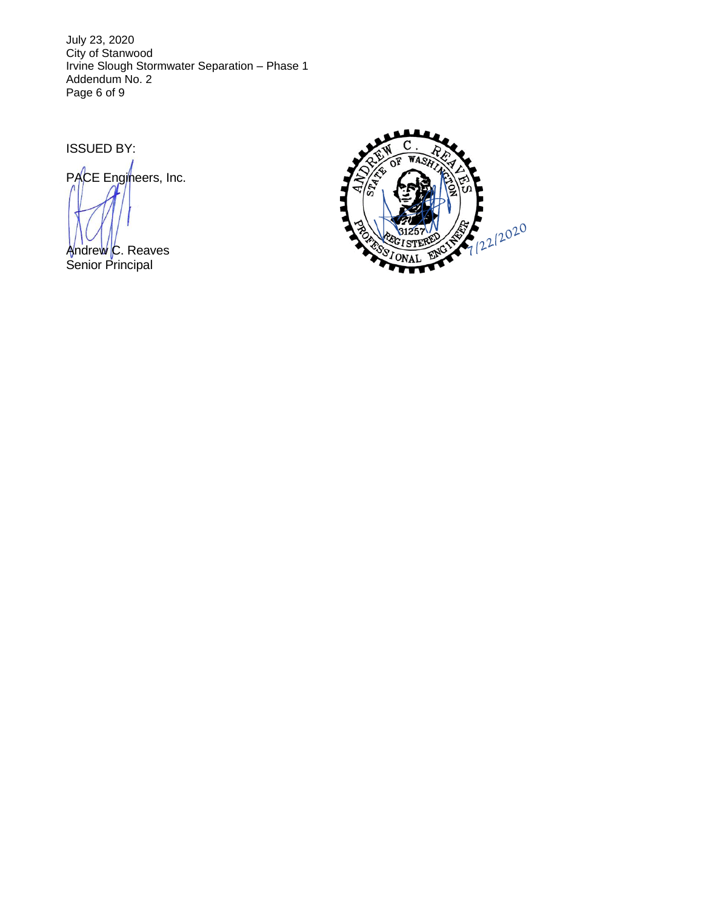July 23, 2020 City of Stanwood Irvine Slough Stormwater Separation – Phase 1 Addendum No. 2 Page 6 of 9

ISSUED BY:

PACE Engineers, Inc.

Andrew C. Reaves Senior Principal

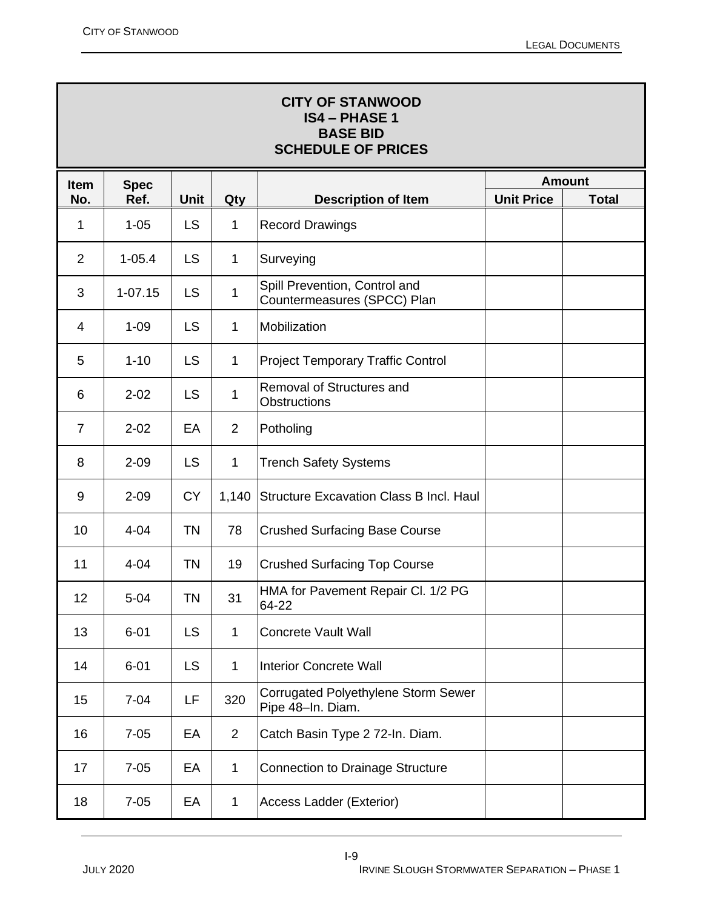| <b>CITY OF STANWOOD</b><br><b>IS4 - PHASE 1</b><br><b>BASE BID</b><br><b>SCHEDULE OF PRICES</b> |             |             |                |                                                              |                   |              |
|-------------------------------------------------------------------------------------------------|-------------|-------------|----------------|--------------------------------------------------------------|-------------------|--------------|
| <b>Item</b>                                                                                     | <b>Spec</b> |             |                | <b>Amount</b>                                                |                   |              |
| No.                                                                                             | Ref.        | <b>Unit</b> | Qty            | <b>Description of Item</b>                                   | <b>Unit Price</b> | <b>Total</b> |
| 1                                                                                               | $1 - 05$    | <b>LS</b>   | $\mathbf 1$    | <b>Record Drawings</b>                                       |                   |              |
| $\overline{2}$                                                                                  | $1 - 05.4$  | LS          | $\mathbf 1$    | Surveying                                                    |                   |              |
| 3                                                                                               | $1 - 07.15$ | LS          | $\mathbf 1$    | Spill Prevention, Control and<br>Countermeasures (SPCC) Plan |                   |              |
| 4                                                                                               | $1 - 09$    | <b>LS</b>   | $\mathbf 1$    | Mobilization                                                 |                   |              |
| 5                                                                                               | $1 - 10$    | <b>LS</b>   | $\mathbf 1$    | <b>Project Temporary Traffic Control</b>                     |                   |              |
| 6                                                                                               | $2 - 02$    | <b>LS</b>   | $\mathbf 1$    | Removal of Structures and<br>Obstructions                    |                   |              |
| $\overline{7}$                                                                                  | $2 - 02$    | EA          | $\overline{2}$ | Potholing                                                    |                   |              |
| 8                                                                                               | $2 - 09$    | <b>LS</b>   | $\mathbf{1}$   | <b>Trench Safety Systems</b>                                 |                   |              |
| 9                                                                                               | $2 - 09$    | <b>CY</b>   | 1,140          | <b>Structure Excavation Class B Incl. Haul</b>               |                   |              |
| 10                                                                                              | $4 - 04$    | <b>TN</b>   | 78             | <b>Crushed Surfacing Base Course</b>                         |                   |              |
| 11                                                                                              | $4 - 04$    | <b>TN</b>   | 19             | <b>Crushed Surfacing Top Course</b>                          |                   |              |
| 12                                                                                              | $5 - 04$    | ΤN          | 31             | HMA for Pavement Repair Cl. 1/2 PG<br>64-22                  |                   |              |
| 13                                                                                              | $6 - 01$    | <b>LS</b>   | $\mathbf{1}$   | <b>Concrete Vault Wall</b>                                   |                   |              |
| 14                                                                                              | $6 - 01$    | <b>LS</b>   | $\mathbf{1}$   | <b>Interior Concrete Wall</b>                                |                   |              |
| 15                                                                                              | $7 - 04$    | LF          | 320            | Corrugated Polyethylene Storm Sewer<br>Pipe 48-In. Diam.     |                   |              |
| 16                                                                                              | $7 - 05$    | EA          | $\overline{2}$ | Catch Basin Type 2 72-In. Diam.                              |                   |              |
| 17                                                                                              | $7 - 05$    | EA          | $\mathbf 1$    | <b>Connection to Drainage Structure</b>                      |                   |              |
| 18                                                                                              | $7 - 05$    | EA          | $\mathbf 1$    | <b>Access Ladder (Exterior)</b>                              |                   |              |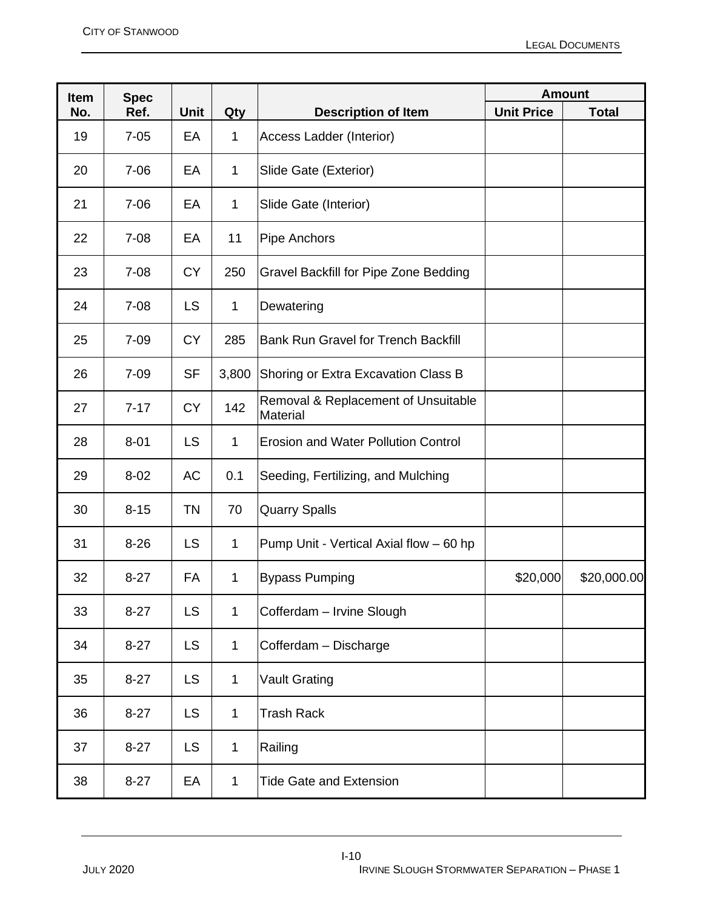| <b>Item</b> | <b>Spec</b> |             |              |                                                 | <b>Amount</b>     |              |
|-------------|-------------|-------------|--------------|-------------------------------------------------|-------------------|--------------|
| No.         | Ref.        | <b>Unit</b> | Qty          | <b>Description of Item</b>                      | <b>Unit Price</b> | <b>Total</b> |
| 19          | $7 - 05$    | EA          | $\mathbf 1$  | Access Ladder (Interior)                        |                   |              |
| 20          | $7 - 06$    | EA          | 1            | Slide Gate (Exterior)                           |                   |              |
| 21          | $7 - 06$    | EA          | $\mathbf 1$  | Slide Gate (Interior)                           |                   |              |
| 22          | $7 - 08$    | EA          | 11           | Pipe Anchors                                    |                   |              |
| 23          | $7 - 08$    | <b>CY</b>   | 250          | Gravel Backfill for Pipe Zone Bedding           |                   |              |
| 24          | $7 - 08$    | <b>LS</b>   | $\mathbf 1$  | Dewatering                                      |                   |              |
| 25          | $7 - 09$    | <b>CY</b>   | 285          | <b>Bank Run Gravel for Trench Backfill</b>      |                   |              |
| 26          | $7 - 09$    | <b>SF</b>   | 3,800        | Shoring or Extra Excavation Class B             |                   |              |
| 27          | $7 - 17$    | <b>CY</b>   | 142          | Removal & Replacement of Unsuitable<br>Material |                   |              |
| 28          | $8 - 01$    | <b>LS</b>   | $\mathbf 1$  | <b>Erosion and Water Pollution Control</b>      |                   |              |
| 29          | $8 - 02$    | AC          | 0.1          | Seeding, Fertilizing, and Mulching              |                   |              |
| 30          | $8 - 15$    | <b>TN</b>   | 70           | <b>Quarry Spalls</b>                            |                   |              |
| 31          | $8 - 26$    | <b>LS</b>   | 1            | Pump Unit - Vertical Axial flow - 60 hp         |                   |              |
| 32          | $8 - 27$    | <b>FA</b>   | 1            | <b>Bypass Pumping</b>                           | \$20,000          | \$20,000.00  |
| 33          | $8 - 27$    | <b>LS</b>   | $\mathbf 1$  | Cofferdam - Irvine Slough                       |                   |              |
| 34          | $8 - 27$    | <b>LS</b>   | $\mathbf 1$  | Cofferdam - Discharge                           |                   |              |
| 35          | $8 - 27$    | <b>LS</b>   | $\mathbf 1$  | <b>Vault Grating</b>                            |                   |              |
| 36          | $8 - 27$    | <b>LS</b>   | $\mathbf 1$  | Trash Rack                                      |                   |              |
| 37          | $8 - 27$    | <b>LS</b>   | $\mathbf 1$  | Railing                                         |                   |              |
| 38          | $8 - 27$    | EA          | $\mathbf{1}$ | <b>Tide Gate and Extension</b>                  |                   |              |